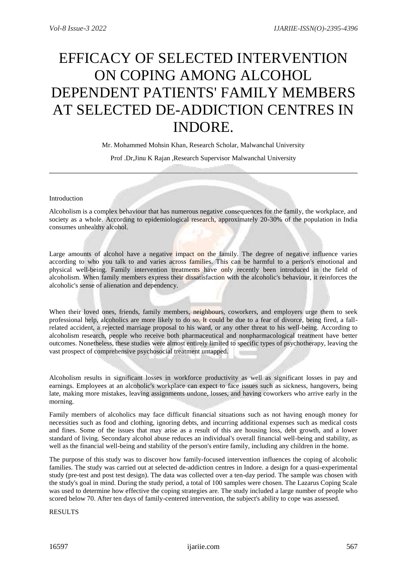## EFFICACY OF SELECTED INTERVENTION ON COPING AMONG ALCOHOL DEPENDENT PATIENTS' FAMILY MEMBERS AT SELECTED DE-ADDICTION CENTRES IN INDORE.

Mr. Mohammed Mohsin Khan, Research Scholar, Malwanchal University

Prof .Dr,Jinu K Rajan ,Research Supervisor Malwanchal University

## Introduction

Alcoholism is a complex behaviour that has numerous negative consequences for the family, the workplace, and society as a whole. According to epidemiological research, approximately 20-30% of the population in India consumes unhealthy alcohol.

Large amounts of alcohol have a negative impact on the family. The degree of negative influence varies according to who you talk to and varies across families. This can be harmful to a person's emotional and physical well-being. Family intervention treatments have only recently been introduced in the field of alcoholism. When family members express their dissatisfaction with the alcoholic's behaviour, it reinforces the alcoholic's sense of alienation and dependency.

When their loved ones, friends, family members, neighbours, coworkers, and employers urge them to seek professional help, alcoholics are more likely to do so. It could be due to a fear of divorce, being fired, a fallrelated accident, a rejected marriage proposal to his ward, or any other threat to his well-being. According to alcoholism research, people who receive both pharmaceutical and nonpharmacological treatment have better outcomes. Nonetheless, these studies were almost entirely limited to specific types of psychotherapy, leaving the vast prospect of comprehensive psychosocial treatment untapped.

Alcoholism results in significant losses in workforce productivity as well as significant losses in pay and earnings. Employees at an alcoholic's workplace can expect to face issues such as sickness, hangovers, being late, making more mistakes, leaving assignments undone, losses, and having coworkers who arrive early in the morning.

Family members of alcoholics may face difficult financial situations such as not having enough money for necessities such as food and clothing, ignoring debts, and incurring additional expenses such as medical costs and fines. Some of the issues that may arise as a result of this are housing loss, debt growth, and a lower standard of living. Secondary alcohol abuse reduces an individual's overall financial well-being and stability, as well as the financial well-being and stability of the person's entire family, including any children in the home.

The purpose of this study was to discover how family-focused intervention influences the coping of alcoholic families. The study was carried out at selected de-addiction centres in Indore. a design for a quasi-experimental study (pre-test and post test design). The data was collected over a ten-day period. The sample was chosen with the study's goal in mind. During the study period, a total of 100 samples were chosen. The Lazarus Coping Scale was used to determine how effective the coping strategies are. The study included a large number of people who scored below 70. After ten days of family-centered intervention, the subject's ability to cope was assessed.

RESULTS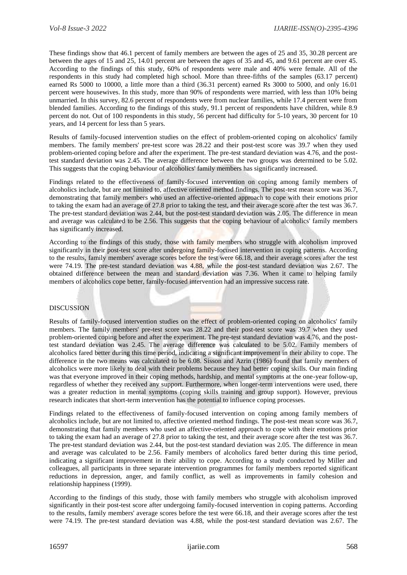These findings show that 46.1 percent of family members are between the ages of 25 and 35, 30.28 percent are between the ages of 15 and 25, 14.01 percent are between the ages of 35 and 45, and 9.61 percent are over 45. According to the findings of this study, 60% of respondents were male and 40% were female. All of the respondents in this study had completed high school. More than three-fifths of the samples (63.17 percent) earned Rs 5000 to 10000, a little more than a third (36.31 percent) earned Rs 3000 to 5000, and only 16.01 percent were housewives. In this study, more than 90% of respondents were married, with less than 10% being unmarried. In this survey, 82.6 percent of respondents were from nuclear families, while 17.4 percent were from blended families. According to the findings of this study, 91.1 percent of respondents have children, while 8.9 percent do not. Out of 100 respondents in this study, 56 percent had difficulty for 5-10 years, 30 percent for 10 years, and 14 percent for less than 5 years.

Results of family-focused intervention studies on the effect of problem-oriented coping on alcoholics' family members. The family members' pre-test score was 28.22 and their post-test score was 39.7 when they used problem-oriented coping before and after the experiment. The pre-test standard deviation was 4.76, and the posttest standard deviation was 2.45. The average difference between the two groups was determined to be 5.02. This suggests that the coping behaviour of alcoholics' family members has significantly increased.

Findings related to the effectiveness of family-focused intervention on coping among family members of alcoholics include, but are not limited to, affective oriented method findings. The post-test mean score was 36.7, demonstrating that family members who used an affective-oriented approach to cope with their emotions prior to taking the exam had an average of 27.8 prior to taking the test, and their average score after the test was 36.7. The pre-test standard deviation was 2.44, but the post-test standard deviation was 2.05. The difference in mean and average was calculated to be 2.56. This suggests that the coping behaviour of alcoholics' family members has significantly increased.

According to the findings of this study, those with family members who struggle with alcoholism improved significantly in their post-test score after undergoing family-focused intervention in coping patterns. According to the results, family members' average scores before the test were 66.18, and their average scores after the test were 74.19. The pre-test standard deviation was 4.88, while the post-test standard deviation was 2.67. The obtained difference between the mean and standard deviation was 7.36. When it came to helping family members of alcoholics cope better, family-focused intervention had an impressive success rate.

## DISCUSSION

Results of family-focused intervention studies on the effect of problem-oriented coping on alcoholics' family members. The family members' pre-test score was 28.22 and their post-test score was 39.7 when they used problem-oriented coping before and after the experiment. The pre-test standard deviation was 4.76, and the posttest standard deviation was 2.45. The average difference was calculated to be 5.02. Family members of alcoholics fared better during this time period, indicating a significant improvement in their ability to cope. The difference in the two means was calculated to be 6.08. Sisson and Azrin (1986) found that family members of alcoholics were more likely to deal with their problems because they had better coping skills. Our main finding was that everyone improved in their coping methods, hardship, and mental symptoms at the one-year follow-up, regardless of whether they received any support. Furthermore, when longer-term interventions were used, there was a greater reduction in mental symptoms (coping skills training and group support). However, previous research indicates that short-term intervention has the potential to influence coping processes.

Findings related to the effectiveness of family-focused intervention on coping among family members of alcoholics include, but are not limited to, affective oriented method findings. The post-test mean score was 36.7, demonstrating that family members who used an affective-oriented approach to cope with their emotions prior to taking the exam had an average of 27.8 prior to taking the test, and their average score after the test was 36.7. The pre-test standard deviation was 2.44, but the post-test standard deviation was 2.05. The difference in mean and average was calculated to be 2.56. Family members of alcoholics fared better during this time period, indicating a significant improvement in their ability to cope. According to a study conducted by Miller and colleagues, all participants in three separate intervention programmes for family members reported significant reductions in depression, anger, and family conflict, as well as improvements in family cohesion and relationship happiness (1999).

According to the findings of this study, those with family members who struggle with alcoholism improved significantly in their post-test score after undergoing family-focused intervention in coping patterns. According to the results, family members' average scores before the test were 66.18, and their average scores after the test were 74.19. The pre-test standard deviation was 4.88, while the post-test standard deviation was 2.67. The